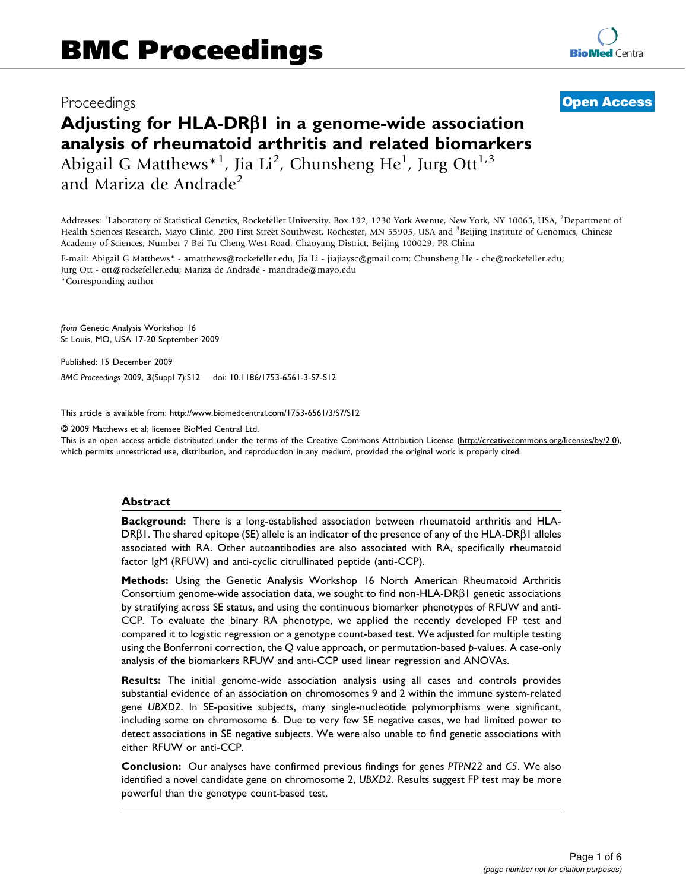# Proceedings

**[Open Access](http://www.biomedcentral.com/info/about/charter/)**

# Adjusting for HLA-DRBI in a genome-wide association analysis of rheumatoid arthritis and related biomarkers Abigail G Matthews\*<sup>1</sup>, Jia Li<sup>2</sup>, Chunsheng He<sup>1</sup>, Jurg Ott<sup>1,3</sup> and Mariza de Andrade<sup>2</sup>

Addresses: <sup>1</sup>Laboratory of Statistical Genetics, Rockefeller University, Box 192, 1230 York Avenue, New York, NY 10065, USA, <sup>2</sup>Department of Health Sciences Research, Mayo Clinic, 200 First Street Southwest, Rochester, MN 55905, USA and <sup>3</sup>Beijing Institute of Genomics, Chinese Academy of Sciences, Number 7 Bei Tu Cheng West Road, Chaoyang District, Beijing 100029, PR China

E-mail: Abigail G Matthews\* - [amatthews@rockefeller.edu;](mailto:amatthews@rockefeller.edu) Jia Li - [jiajiaysc@gmail.com;](mailto:jiajiaysc@gmail.com) Chunsheng He - [che@rockefeller.edu;](mailto:che@rockefeller.edu) Jurg Ott - [ott@rockefeller.edu](mailto:ott@rockefeller.edu); Mariza de Andrade - [mandrade@mayo.edu](mailto:mandrade@mayo.edu) \*Corresponding author

from Genetic Analysis Workshop 16 St Louis, MO, USA 17-20 September 2009

Published: 15 December 2009

BMC Proceedings 2009, 3(Suppl 7):S12 doi: 10.1186/1753-6561-3-S7-S12

This article is available from: http://www.biomedcentral.com/1753-6561/3/S7/S12

© 2009 Matthews et al; licensee BioMed Central Ltd.

This is an open access article distributed under the terms of the Creative Commons Attribution License [\(http://creativecommons.org/licenses/by/2.0\)](http://creativecommons.org/licenses/by/2.0), which permits unrestricted use, distribution, and reproduction in any medium, provided the original work is properly cited.

#### Abstract

**Background:** There is a long-established association between rheumatoid arthritis and HLA- $DR\beta1$ . The shared epitope (SE) allele is an indicator of the presence of any of the HLA-DR $\beta1$  alleles associated with RA. Other autoantibodies are also associated with RA, specifically rheumatoid factor IgM (RFUW) and anti-cyclic citrullinated peptide (anti-CCP).

Methods: Using the Genetic Analysis Workshop 16 North American Rheumatoid Arthritis Consortium genome-wide association data, we sought to find non-HLA-DR $\beta$ 1 genetic associations by stratifying across SE status, and using the continuous biomarker phenotypes of RFUW and anti-CCP. To evaluate the binary RA phenotype, we applied the recently developed FP test and compared it to logistic regression or a genotype count-based test. We adjusted for multiple testing using the Bonferroni correction, the Q value approach, or permutation-based p-values. A case-only analysis of the biomarkers RFUW and anti-CCP used linear regression and ANOVAs.

Results: The initial genome-wide association analysis using all cases and controls provides substantial evidence of an association on chromosomes 9 and 2 within the immune system-related gene UBXD2. In SE-positive subjects, many single-nucleotide polymorphisms were significant, including some on chromosome 6. Due to very few SE negative cases, we had limited power to detect associations in SE negative subjects. We were also unable to find genetic associations with either RFUW or anti-CCP.

Conclusion: Our analyses have confirmed previous findings for genes PTPN22 and C5. We also identified a novel candidate gene on chromosome 2, UBXD2. Results suggest FP test may be more powerful than the genotype count-based test.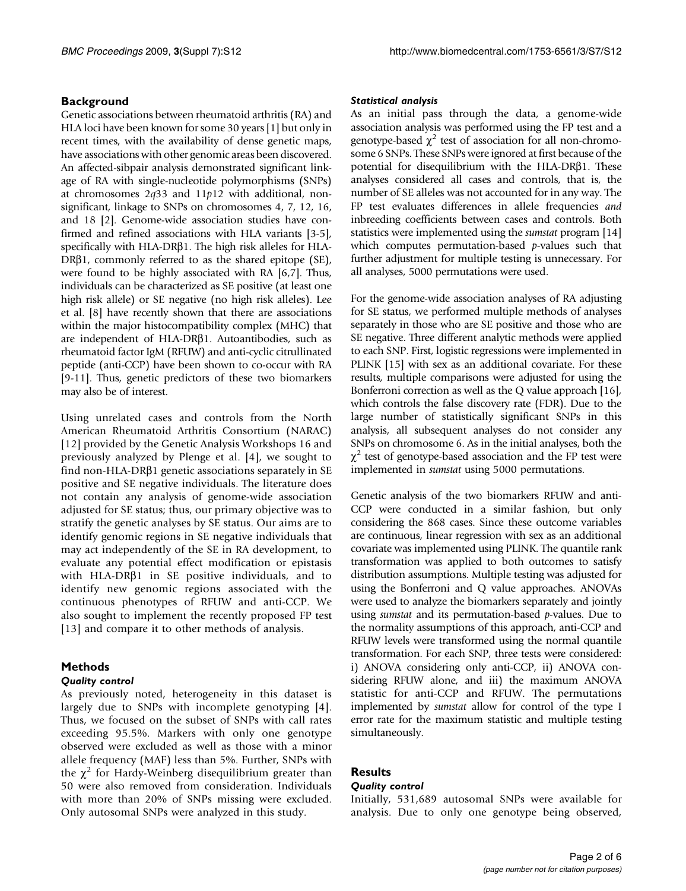### **Background**

Genetic associations between rheumatoid arthritis (RA) and HLA loci have been known for some 30 years [\[1](#page-4-0)] but only in recent times, with the availability of dense genetic maps, have associations with other genomic areas been discovered. An affected-sibpair analysis demonstrated significant linkage of RA with single-nucleotide polymorphisms (SNPs) at chromosomes  $2q33$  and  $11p12$  with additional, nonsignificant, linkage to SNPs on chromosomes 4, 7, 12, 16, and 18 [[2](#page-4-0)]. Genome-wide association studies have confirmed and refined associations with HLA variants [\[3](#page-4-0)[-5](#page-5-0)], specifically with HLA-DR $\beta$ 1. The high risk alleles for HLA-DR $\beta$ 1, commonly referred to as the shared epitope (SE), were found to be highly associated with RA [\[6,7](#page-5-0)]. Thus, individuals can be characterized as SE positive (at least one high risk allele) or SE negative (no high risk alleles). Lee et al. [\[8\]](#page-5-0) have recently shown that there are associations within the major histocompatibility complex (MHC) that are independent of HLA-DR $\beta$ 1. Autoantibodies, such as rheumatoid factor IgM (RFUW) and anti-cyclic citrullinated peptide (anti-CCP) have been shown to co-occur with RA [\[9-11](#page-5-0)]. Thus, genetic predictors of these two biomarkers may also be of interest.

Using unrelated cases and controls from the North American Rheumatoid Arthritis Consortium (NARAC) [[12\]](#page-5-0) provided by the Genetic Analysis Workshops 16 and previously analyzed by Plenge et al. [[4](#page-4-0)], we sought to find non-HLA-DR $\beta$ 1 genetic associations separately in SE positive and SE negative individuals. The literature does not contain any analysis of genome-wide association adjusted for SE status; thus, our primary objective was to stratify the genetic analyses by SE status. Our aims are to identify genomic regions in SE negative individuals that may act independently of the SE in RA development, to evaluate any potential effect modification or epistasis with HLA-DR $\beta$ 1 in SE positive individuals, and to identify new genomic regions associated with the continuous phenotypes of RFUW and anti-CCP. We also sought to implement the recently proposed FP test [[13\]](#page-5-0) and compare it to other methods of analysis.

# Methods

#### Quality control

As previously noted, heterogeneity in this dataset is largely due to SNPs with incomplete genotyping [[4](#page-4-0)]. Thus, we focused on the subset of SNPs with call rates exceeding 95.5%. Markers with only one genotype observed were excluded as well as those with a minor allele frequency (MAF) less than 5%. Further, SNPs with the  $\chi^2$  for Hardy-Weinberg disequilibrium greater than 50 were also removed from consideration. Individuals with more than 20% of SNPs missing were excluded. Only autosomal SNPs were analyzed in this study.

#### Statistical analysis

As an initial pass through the data, a genome-wide association analysis was performed using the FP test and a genotype-based  $\chi^2$  test of association for all non-chromosome 6 SNPs. These SNPs were ignored at first because of the potential for disequilibrium with the HLA-DR $\beta$ 1. These analyses considered all cases and controls, that is, the number of SE alleles was not accounted for in any way. The FP test evaluates differences in allele frequencies and inbreeding coefficients between cases and controls. Both statistics were implemented using the sumstat program [\[14\]](#page-5-0) which computes permutation-based  $p$ -values such that further adjustment for multiple testing is unnecessary. For all analyses, 5000 permutations were used.

For the genome-wide association analyses of RA adjusting for SE status, we performed multiple methods of analyses separately in those who are SE positive and those who are SE negative. Three different analytic methods were applied to each SNP. First, logistic regressions were implemented in PLINK [[15](#page-5-0)] with sex as an additional covariate. For these results, multiple comparisons were adjusted for using the Bonferroni correction as well as the Q value approach [[16](#page-5-0)], which controls the false discovery rate (FDR). Due to the large number of statistically significant SNPs in this analysis, all subsequent analyses do not consider any SNPs on chromosome 6. As in the initial analyses, both the  $\chi^2$  test of genotype-based association and the FP test were implemented in sumstat using 5000 permutations.

Genetic analysis of the two biomarkers RFUW and anti-CCP were conducted in a similar fashion, but only considering the 868 cases. Since these outcome variables are continuous, linear regression with sex as an additional covariate was implemented using PLINK. The quantile rank transformation was applied to both outcomes to satisfy distribution assumptions. Multiple testing was adjusted for using the Bonferroni and Q value approaches. ANOVAs were used to analyze the biomarkers separately and jointly using sumstat and its permutation-based p-values. Due to the normality assumptions of this approach, anti-CCP and RFUW levels were transformed using the normal quantile transformation. For each SNP, three tests were considered: i) ANOVA considering only anti-CCP, ii) ANOVA considering RFUW alone, and iii) the maximum ANOVA statistic for anti-CCP and RFUW. The permutations implemented by sumstat allow for control of the type I error rate for the maximum statistic and multiple testing simultaneously.

#### **Results**

#### Quality control

Initially, 531,689 autosomal SNPs were available for analysis. Due to only one genotype being observed,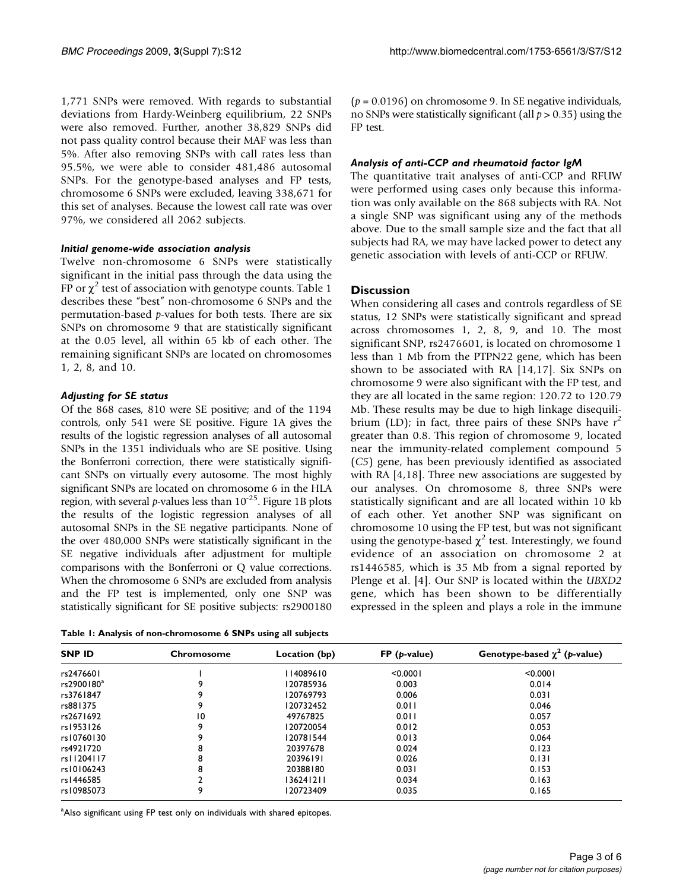<span id="page-2-0"></span>1,771 SNPs were removed. With regards to substantial deviations from Hardy-Weinberg equilibrium, 22 SNPs were also removed. Further, another 38,829 SNPs did not pass quality control because their MAF was less than 5%. After also removing SNPs with call rates less than 95.5%, we were able to consider 481,486 autosomal SNPs. For the genotype-based analyses and FP tests, chromosome 6 SNPs were excluded, leaving 338,671 for this set of analyses. Because the lowest call rate was over 97%, we considered all 2062 subjects.

#### Initial genome-wide association analysis

Twelve non-chromosome 6 SNPs were statistically significant in the initial pass through the data using the FP or  $\chi^2$  test of association with genotype counts. Table 1 describes these "best" non-chromosome 6 SNPs and the permutation-based p-values for both tests. There are six SNPs on chromosome 9 that are statistically significant at the 0.05 level, all within 65 kb of each other. The remaining significant SNPs are located on chromosomes 1, 2, 8, and 10.

### Adjusting for SE status

Of the 868 cases, 810 were SE positive; and of the 1194 controls, only 541 were SE positive. [Figure 1A](#page-3-0) gives the results of the logistic regression analyses of all autosomal SNPs in the 1351 individuals who are SE positive. Using the Bonferroni correction, there were statistically significant SNPs on virtually every autosome. The most highly significant SNPs are located on chromosome 6 in the HLA region, with several p-values less than  $10^{-25}$ . [Figure 1B](#page-3-0) plots the results of the logistic regression analyses of all autosomal SNPs in the SE negative participants. None of the over 480,000 SNPs were statistically significant in the SE negative individuals after adjustment for multiple comparisons with the Bonferroni or Q value corrections. When the chromosome 6 SNPs are excluded from analysis and the FP test is implemented, only one SNP was statistically significant for SE positive subjects: rs2900180

Table 1: Analysis of non-chromosome 6 SNPs using all subjects

 $(p = 0.0196)$  on chromosome 9. In SE negative individuals, no SNPs were statistically significant (all  $p > 0.35$ ) using the FP test.

#### Analysis of anti-CCP and rheumatoid factor IgM

The quantitative trait analyses of anti-CCP and RFUW were performed using cases only because this information was only available on the 868 subjects with RA. Not a single SNP was significant using any of the methods above. Due to the small sample size and the fact that all subjects had RA, we may have lacked power to detect any genetic association with levels of anti-CCP or RFUW.

### **Discussion**

When considering all cases and controls regardless of SE status, 12 SNPs were statistically significant and spread across chromosomes 1, 2, 8, 9, and 10. The most significant SNP, rs2476601, is located on chromosome 1 less than 1 Mb from the PTPN22 gene, which has been shown to be associated with RA [[14,17](#page-5-0)]. Six SNPs on chromosome 9 were also significant with the FP test, and they are all located in the same region: 120.72 to 120.79 Mb. These results may be due to high linkage disequilibrium (LD); in fact, three pairs of these SNPs have  $r^2$ greater than 0.8. This region of chromosome 9, located near the immunity-related complement compound 5 (C5) gene, has been previously identified as associated with RA [\[4,](#page-4-0)[18](#page-5-0)]. Three new associations are suggested by our analyses. On chromosome 8, three SNPs were statistically significant and are all located within 10 kb of each other. Yet another SNP was significant on chromosome 10 using the FP test, but was not significant using the genotype-based  $\chi^2$  test. Interestingly, we found evidence of an association on chromosome 2 at rs1446585, which is 35 Mb from a signal reported by Plenge et al. [[4](#page-4-0)]. Our SNP is located within the UBXD2 gene, which has been shown to be differentially expressed in the spleen and plays a role in the immune

| <b>SNP ID</b>          | <b>Chromosome</b> | Location (bp) | $FP$ ( <i>p</i> -value) | Genotype-based $\chi^2$ (p-value) |
|------------------------|-------------------|---------------|-------------------------|-----------------------------------|
| rs2476601              |                   | 114089610     | < 0.0001                | < 0.0001                          |
| rs2900180 <sup>a</sup> | 9                 | 120785936     | 0.003                   | 0.014                             |
| rs3761847              | 9                 | 120769793     | 0.006                   | 0.031                             |
| rs881375               | 9                 | 120732452     | 0.011                   | 0.046                             |
| rs2671692              | 10                | 49767825      | 0.011                   | 0.057                             |
| rs1953126              | 9                 | 120720054     | 0.012                   | 0.053                             |
| rs10760130             | 9                 | 120781544     | 0.013                   | 0.064                             |
| rs4921720              | 8                 | 20397678      | 0.024                   | 0.123                             |
| rs11204117             | 8                 | 20396191      | 0.026                   | 0.131                             |
| rs10106243             | 8                 | 20388180      | 0.031                   | 0.153                             |
| rs1446585              |                   | 136241211     | 0.034                   | 0.163                             |
| rs10985073             | 9                 | 120723409     | 0.035                   | 0.165                             |

<sup>a</sup>Also significant using FP test only on individuals with shared epitopes.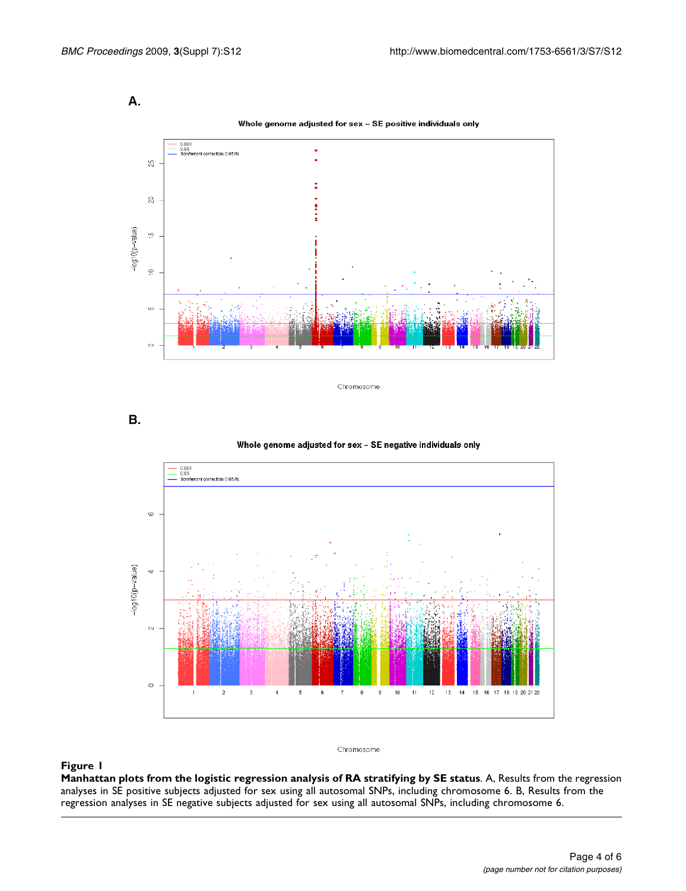<span id="page-3-0"></span>

Whole genome adjusted for sex - SE positive individuals only



Chromosome

В.

Whole genome adjusted for sex - SE negative individuals only



#### Chromosome

#### Figure 1

Manhattan plots from the logistic regression analysis of RA stratifying by SE status. A, Results from the regression analyses in SE positive subjects adjusted for sex using all autosomal SNPs, including chromosome 6. B, Results from the regression analyses in SE negative subjects adjusted for sex using all autosomal SNPs, including chromosome 6.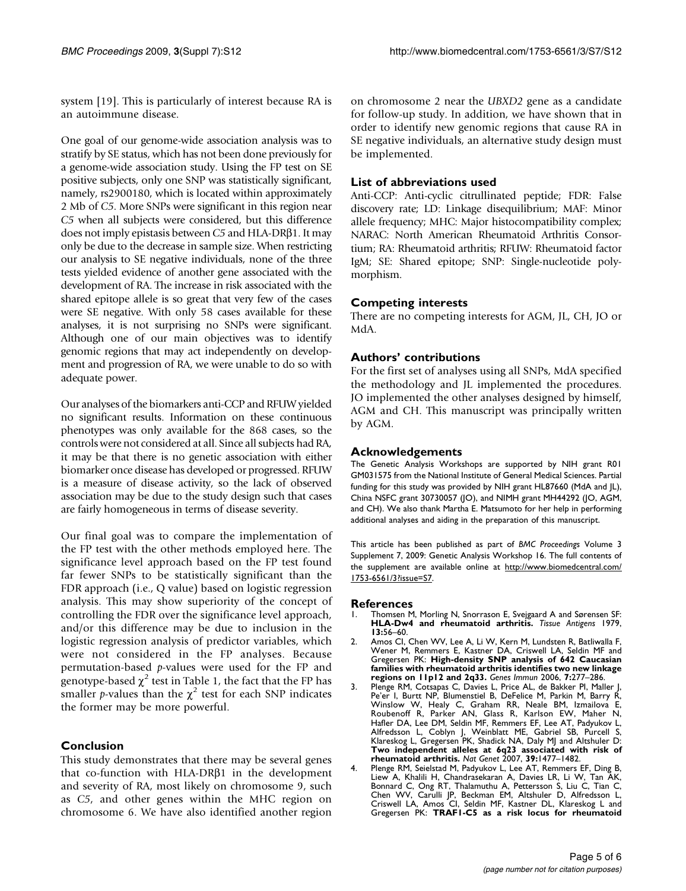<span id="page-4-0"></span>system [\[19](#page-5-0)]. This is particularly of interest because RA is an autoimmune disease.

One goal of our genome-wide association analysis was to stratify by SE status, which has not been done previously for a genome-wide association study. Using the FP test on SE positive subjects, only one SNP was statistically significant, namely, rs2900180, which is located within approximately 2 Mb of C5. More SNPs were significant in this region near C5 when all subjects were considered, but this difference does not imply epistasis between  $C_5$  and HLA-DR $\beta$ 1. It may only be due to the decrease in sample size. When restricting our analysis to SE negative individuals, none of the three tests yielded evidence of another gene associated with the development of RA. The increase in risk associated with the shared epitope allele is so great that very few of the cases were SE negative. With only 58 cases available for these analyses, it is not surprising no SNPs were significant. Although one of our main objectives was to identify genomic regions that may act independently on development and progression of RA, we were unable to do so with adequate power.

Our analyses of the biomarkers anti-CCP and RFUW yielded no significant results. Information on these continuous phenotypes was only available for the 868 cases, so the controls were not considered at all. Since all subjects had RA, it may be that there is no genetic association with either biomarker once disease has developed or progressed. RFUW is a measure of disease activity, so the lack of observed association may be due to the study design such that cases are fairly homogeneous in terms of disease severity.

Our final goal was to compare the implementation of the FP test with the other methods employed here. The significance level approach based on the FP test found far fewer SNPs to be statistically significant than the FDR approach (i.e., Q value) based on logistic regression analysis. This may show superiority of the concept of controlling the FDR over the significance level approach, and/or this difference may be due to inclusion in the logistic regression analysis of predictor variables, which were not considered in the FP analyses. Because permutation-based p-values were used for the FP and genotype-based  $\chi^2$  test in [Table 1](#page-2-0), the fact that the FP has smaller *p*-values than the  $\chi^2$  test for each SNP indicates the former may be more powerful.

# Conclusion

This study demonstrates that there may be several genes that co-function with HLA-DR $\beta$ 1 in the development and severity of RA, most likely on chromosome 9, such as C5, and other genes within the MHC region on chromosome 6. We have also identified another region

on chromosome 2 near the UBXD2 gene as a candidate for follow-up study. In addition, we have shown that in order to identify new genomic regions that cause RA in SE negative individuals, an alternative study design must be implemented.

## List of abbreviations used

Anti-CCP: Anti-cyclic citrullinated peptide; FDR: False discovery rate; LD: Linkage disequilibrium; MAF: Minor allele frequency; MHC: Major histocompatibility complex; NARAC: North American Rheumatoid Arthritis Consortium; RA: Rheumatoid arthritis; RFUW: Rheumatoid factor IgM; SE: Shared epitope; SNP: Single-nucleotide polymorphism.

# Competing interests

There are no competing interests for AGM, JL, CH, JO or MdA.

# Authors' contributions

For the first set of analyses using all SNPs, MdA specified the methodology and JL implemented the procedures. JO implemented the other analyses designed by himself, AGM and CH. This manuscript was principally written by AGM.

# Acknowledgements

The Genetic Analysis Workshops are supported by NIH grant R01 GM031575 from the National Institute of General Medical Sciences. Partial funding for this study was provided by NIH grant HL87660 (MdA and JL), China NSFC grant 30730057 (JO), and NIMH grant MH44292 (JO, AGM, and CH). We also thank Martha E. Matsumoto for her help in performing additional analyses and aiding in the preparation of this manuscript.

This article has been published as part of BMC Proceedings Volume 3 Supplement 7, 2009: Genetic Analysis Workshop 16. The full contents of the supplement are available online at [http://www.biomedcentral.com/](http://www.biomedcentral.com/1753-6561/3?issue=S7) [1753-6561/3?issue=S7](http://www.biomedcentral.com/1753-6561/3?issue=S7).

### References

- Thomsen M, Morling N, Snorrason E, Svejgaard A and Sørensen SF: [HLA-Dw4 and rheumatoid arthritis.](http://www.ncbi.nlm.nih.gov/pubmed/154196?dopt=Abstract) Tissue Antigens 1979, 13:56–60.
- 2. Amos CI, Chen WV, Lee A, Li W, Kern M, Lundsten R, Batliwalla F, Wener M, Remmers E, Kastner DA, Criswell LA, Seldin MF and Gregersen PK: [High-density SNP analysis of 642 Caucasian](http://www.ncbi.nlm.nih.gov/pubmed/16691188?dopt=Abstract) [families with rheumatoid arthritis identifies two new linkage](http://www.ncbi.nlm.nih.gov/pubmed/16691188?dopt=Abstract) [regions on 11p12 and 2q33.](http://www.ncbi.nlm.nih.gov/pubmed/16691188?dopt=Abstract) Genes Immun 2006, 7:277–286.
- 3. Plenge RM, Cotsapas C, Davies L, Price AL, de Bakker PI, Maller J, Pe'er I, Burtt NP, Blumenstiel B, DeFelice M, Parkin M, Barry R, Winslow W, Healy C, Graham RR, Neale BM, Izmailova E, Roubenoff R, Parker AN, Glass R, Karlson EW, Maher N, Hafler DA, Lee DM, Seldin MF, Remmers EF, Lee AT, Padyukov L, Alfredsson L, Coblyn J, Weinblatt ME, Gabriel SB, Purcell S, Klareskog L, Gregersen PK, Shadick NA, Daly MJ and Altshuler D: [Two independent alleles at 6q23 associated with risk of](http://www.ncbi.nlm.nih.gov/pubmed/17982456?dopt=Abstract) [rheumatoid arthritis.](http://www.ncbi.nlm.nih.gov/pubmed/17982456?dopt=Abstract) Nat Genet 2007, 39:1477–1482.
- 4. Plenge RM, Seielstad M, Padyukov L, Lee AT, Remmers EF, Ding B, Liew A, Khalili H, Chandrasekaran A, Davies LR, Li W, Tan AK.<br>Bonnard C, Ong RT, Thalamuthu A, Pettersson S, Liu C, Tian C.<br>Chen WV, Carulli JP, Beckman EM, Altshuler D, Alfredsson L.<br>Criswell LA, Amos CI, Seldin MF, Kastn Gregersen PK: [TRAF1-C5 as a risk locus for rheumatoid](http://www.ncbi.nlm.nih.gov/pubmed/17804836?dopt=Abstract)